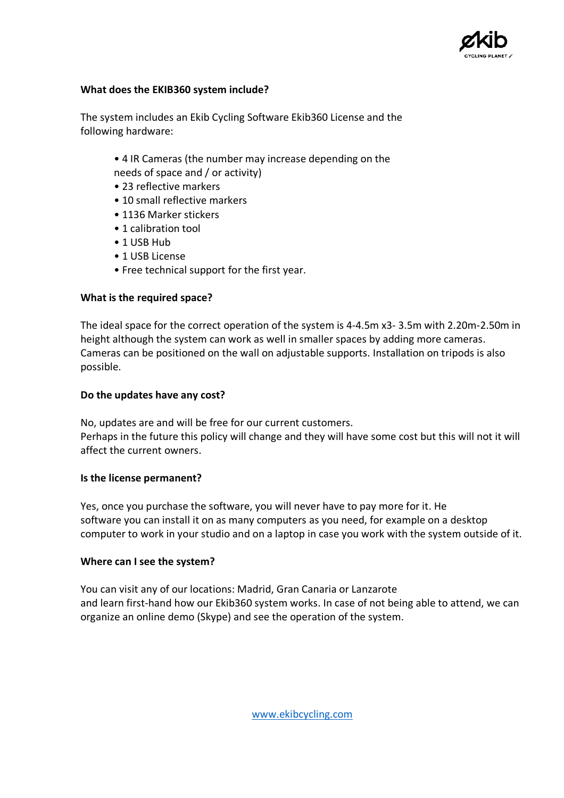

## **What does the EKIB360 system include?**

The system includes an Ekib Cycling Software Ekib360 License and the following hardware:

- 4 IR Cameras (the number may increase depending on the needs of space and / or activity)
- 23 reflective markers
- 10 small reflective markers
- 1136 Marker stickers
- 1 calibration tool
- 1 USB Hub
- 1 USB License
- Free technical support for the first year.

# **What is the required space?**

The ideal space for the correct operation of the system is 4-4.5m x3- 3.5m with 2.20m-2.50m in height although the system can work as well in smaller spaces by adding more cameras. Cameras can be positioned on the wall on adjustable supports. Installation on tripods is also possible.

## **Do the updates have any cost?**

No, updates are and will be free for our current customers. Perhaps in the future this policy will change and they will have some cost but this will not it will affect the current owners.

# **Is the license permanent?**

Yes, once you purchase the software, you will never have to pay more for it. He software you can install it on as many computers as you need, for example on a desktop computer to work in your studio and on a laptop in case you work with the system outside of it.

# **Where can I see the system?**

You can visit any of our locations: Madrid, Gran Canaria or Lanzarote and learn first-hand how our Ekib360 system works. In case of not being able to attend, we can organize an online demo (Skype) and see the operation of the system.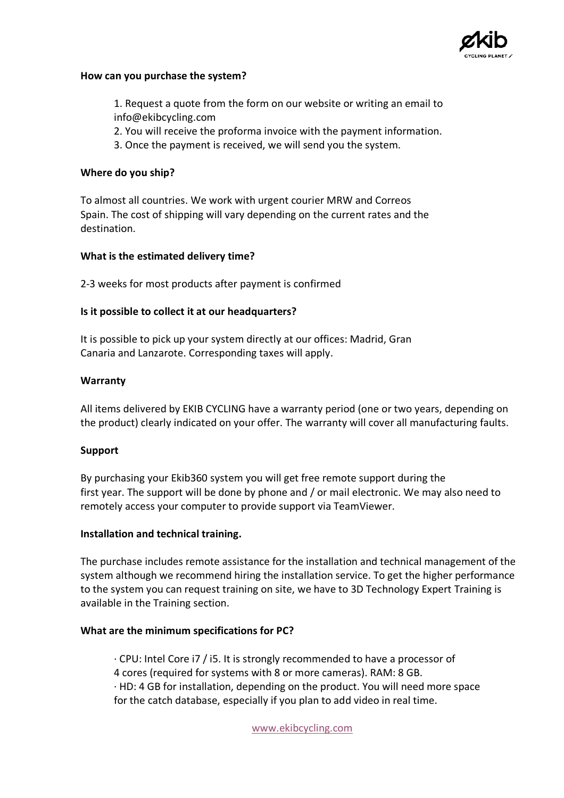

### **How can you purchase the system?**

1. Request a quote from the form on our website or writing an email to info@ekibcycling.com

- 2. You will receive the proforma invoice with the payment information.
- 3. Once the payment is received, we will send you the system.

#### **Where do you ship?**

To almost all countries. We work with urgent courier MRW and Correos Spain. The cost of shipping will vary depending on the current rates and the destination.

#### **What is the estimated delivery time?**

2-3 weeks for most products after payment is confirmed

#### **Is it possible to collect it at our headquarters?**

It is possible to pick up your system directly at our offices: Madrid, Gran Canaria and Lanzarote. Corresponding taxes will apply.

#### **Warranty**

All items delivered by EKIB CYCLING have a warranty period (one or two years, depending on the product) clearly indicated on your offer. The warranty will cover all manufacturing faults.

#### **Support**

By purchasing your Ekib360 system you will get free remote support during the first year. The support will be done by phone and / or mail electronic. We may also need to remotely access your computer to provide support via TeamViewer.

#### **Installation and technical training.**

The purchase includes remote assistance for the installation and technical management of the system although we recommend hiring the installation service. To get the higher performance to the system you can request training on site, we have to 3D Technology Expert Training is available in the Training section.

## **What are the minimum specifications for PC?**

· CPU: Intel Core i7 / i5. It is strongly recommended to have a processor of 4 cores (required for systems with 8 or more cameras). RAM: 8 GB. · HD: 4 GB for installation, depending on the product. You will need more space for the catch database, especially if you plan to add video in real time.